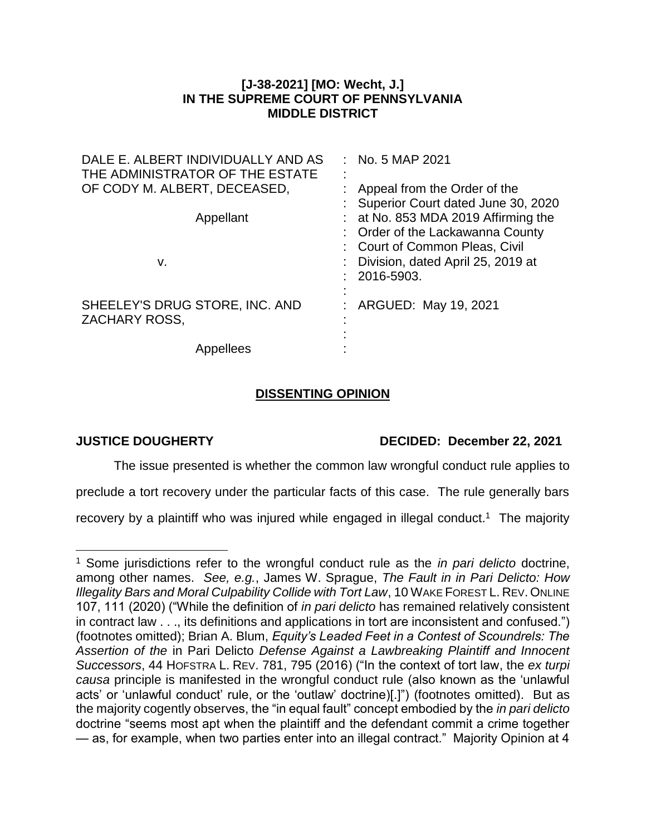## **[J-38-2021] [MO: Wecht, J.] IN THE SUPREME COURT OF PENNSYLVANIA MIDDLE DISTRICT**

| DALE E. ALBERT INDIVIDUALLY AND AS<br>THE ADMINISTRATOR OF THE ESTATE | $:$ No. 5 MAP 2021                                                                                        |
|-----------------------------------------------------------------------|-----------------------------------------------------------------------------------------------------------|
| OF CODY M. ALBERT, DECEASED,                                          | : Appeal from the Order of the<br>: Superior Court dated June 30, 2020                                    |
| Appellant                                                             | : at No. 853 MDA 2019 Affirming the<br>: Order of the Lackawanna County<br>: Court of Common Pleas, Civil |
| v.                                                                    | : Division, dated April 25, 2019 at<br>2016-5903.                                                         |
| SHEELEY'S DRUG STORE, INC. AND<br><b>ZACHARY ROSS,</b>                | ARGUED: May 19, 2021                                                                                      |
| Appellees                                                             |                                                                                                           |

# **DISSENTING OPINION**

 $\overline{a}$ 

# **JUSTICE DOUGHERTY DECIDED: December 22, 2021**

The issue presented is whether the common law wrongful conduct rule applies to

preclude a tort recovery under the particular facts of this case. The rule generally bars

recovery by a plaintiff who was injured while engaged in illegal conduct.<sup>1</sup> The majority

<sup>1</sup> Some jurisdictions refer to the wrongful conduct rule as the *in pari delicto* doctrine, among other names. *See, e.g.*, James W. Sprague, *The Fault in in Pari Delicto: How Illegality Bars and Moral Culpability Collide with Tort Law*, 10 WAKE FOREST L. REV. ONLINE 107, 111 (2020) ("While the definition of *in pari delicto* has remained relatively consistent in contract law . . ., its definitions and applications in tort are inconsistent and confused.") (footnotes omitted); Brian A. Blum, *Equity's Leaded Feet in a Contest of Scoundrels: The Assertion of the* in Pari Delicto *Defense Against a Lawbreaking Plaintiff and Innocent Successors*, 44 HOFSTRA L. REV. 781, 795 (2016) ("In the context of tort law, the *ex turpi causa* principle is manifested in the wrongful conduct rule (also known as the 'unlawful acts' or 'unlawful conduct' rule, or the 'outlaw' doctrine)[.]") (footnotes omitted). But as the majority cogently observes, the "in equal fault" concept embodied by the *in pari delicto* doctrine "seems most apt when the plaintiff and the defendant commit a crime together — as, for example, when two parties enter into an illegal contract." Majority Opinion at 4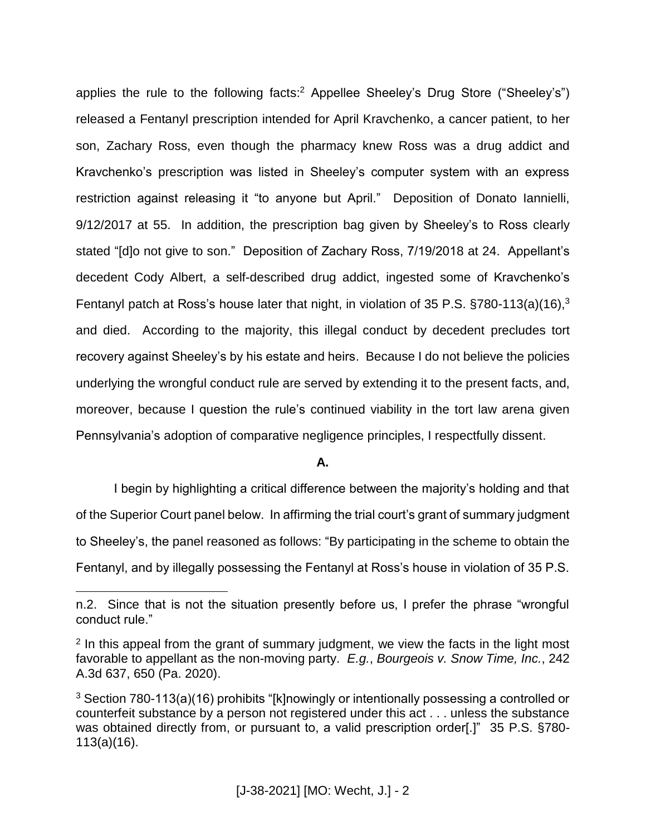applies the rule to the following facts: <sup>2</sup> Appellee Sheeley's Drug Store ("Sheeley's") released a Fentanyl prescription intended for April Kravchenko, a cancer patient, to her son, Zachary Ross, even though the pharmacy knew Ross was a drug addict and Kravchenko's prescription was listed in Sheeley's computer system with an express restriction against releasing it "to anyone but April." Deposition of Donato Iannielli, 9/12/2017 at 55. In addition, the prescription bag given by Sheeley's to Ross clearly stated "[d]o not give to son." Deposition of Zachary Ross, 7/19/2018 at 24. Appellant's decedent Cody Albert, a self-described drug addict, ingested some of Kravchenko's Fentanyl patch at Ross's house later that night, in violation of 35 P.S. §780-113(a)(16),<sup>3</sup> and died. According to the majority, this illegal conduct by decedent precludes tort recovery against Sheeley's by his estate and heirs. Because I do not believe the policies underlying the wrongful conduct rule are served by extending it to the present facts, and, moreover, because I question the rule's continued viability in the tort law arena given Pennsylvania's adoption of comparative negligence principles, I respectfully dissent.

### **A.**

I begin by highlighting a critical difference between the majority's holding and that of the Superior Court panel below. In affirming the trial court's grant of summary judgment to Sheeley's, the panel reasoned as follows: "By participating in the scheme to obtain the Fentanyl, and by illegally possessing the Fentanyl at Ross's house in violation of 35 P.S.

n.2. Since that is not the situation presently before us, I prefer the phrase "wrongful conduct rule."

 $2$  In this appeal from the grant of summary judgment, we view the facts in the light most favorable to appellant as the non-moving party. *E.g.*, *Bourgeois v. Snow Time, Inc.*, 242 A.3d 637, 650 (Pa. 2020).

 $3$  Section 780-113(a)(16) prohibits "[k]nowingly or intentionally possessing a controlled or counterfeit substance by a person not registered under this act . . . unless the substance was obtained directly from, or pursuant to, a valid prescription order[.]" 35 P.S. §780-113(a)(16).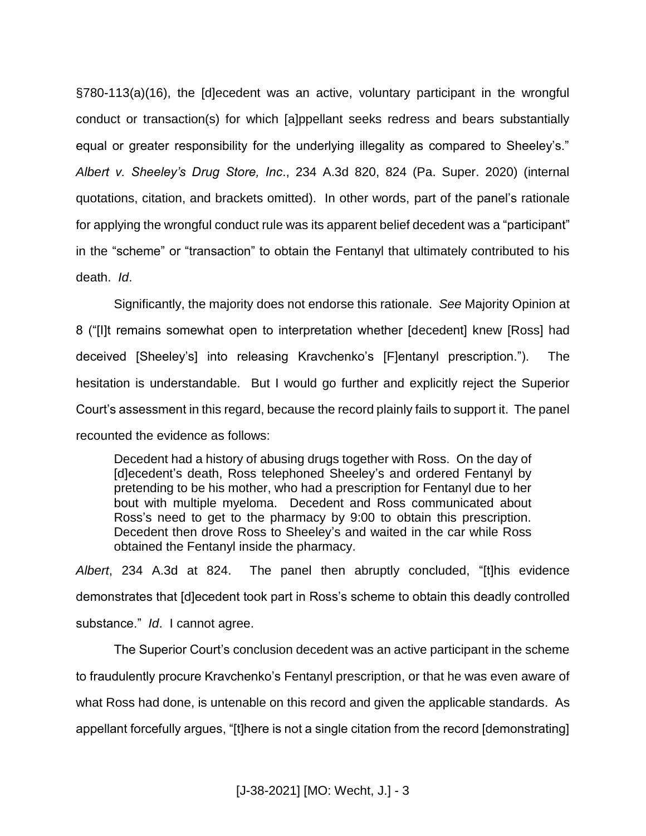§780-113(a)(16), the [d]ecedent was an active, voluntary participant in the wrongful conduct or transaction(s) for which [a]ppellant seeks redress and bears substantially equal or greater responsibility for the underlying illegality as compared to Sheeley's." *Albert v. Sheeley's Drug Store, Inc*., 234 A.3d 820, 824 (Pa. Super. 2020) (internal quotations, citation, and brackets omitted). In other words, part of the panel's rationale for applying the wrongful conduct rule was its apparent belief decedent was a "participant" in the "scheme" or "transaction" to obtain the Fentanyl that ultimately contributed to his death. *Id*.

Significantly, the majority does not endorse this rationale. *See* Majority Opinion at 8 ("[I]t remains somewhat open to interpretation whether [decedent] knew [Ross] had deceived [Sheeley's] into releasing Kravchenko's [F]entanyl prescription."). The hesitation is understandable. But I would go further and explicitly reject the Superior Court's assessment in this regard, because the record plainly fails to support it. The panel recounted the evidence as follows:

Decedent had a history of abusing drugs together with Ross. On the day of [d]ecedent's death, Ross telephoned Sheeley's and ordered Fentanyl by pretending to be his mother, who had a prescription for Fentanyl due to her bout with multiple myeloma. Decedent and Ross communicated about Ross's need to get to the pharmacy by 9:00 to obtain this prescription. Decedent then drove Ross to Sheeley's and waited in the car while Ross obtained the Fentanyl inside the pharmacy.

*Albert*, 234 A.3d at 824. The panel then abruptly concluded, "[t]his evidence demonstrates that [d]ecedent took part in Ross's scheme to obtain this deadly controlled substance." *Id*. I cannot agree.

The Superior Court's conclusion decedent was an active participant in the scheme to fraudulently procure Kravchenko's Fentanyl prescription, or that he was even aware of what Ross had done, is untenable on this record and given the applicable standards. As appellant forcefully argues, "[t]here is not a single citation from the record [demonstrating]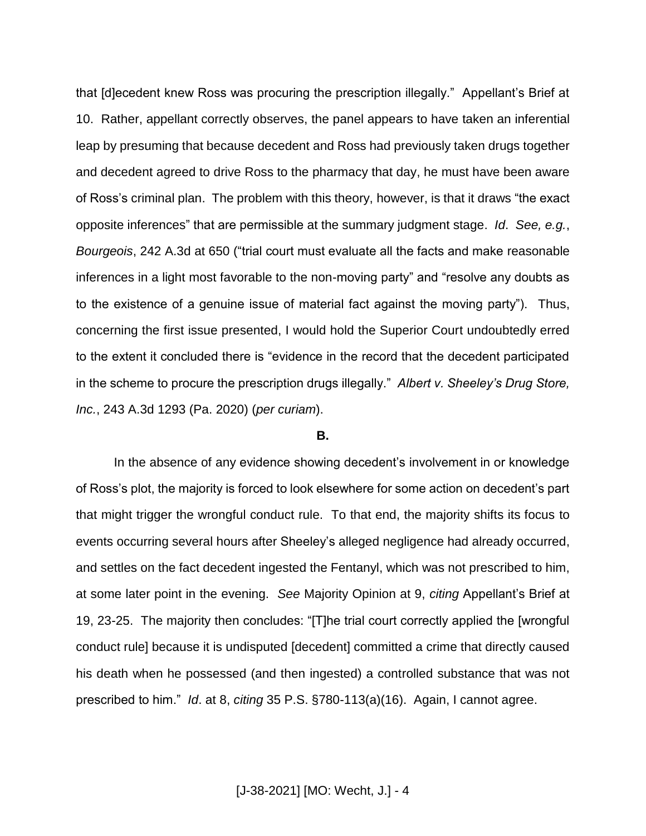that [d]ecedent knew Ross was procuring the prescription illegally." Appellant's Brief at 10. Rather, appellant correctly observes, the panel appears to have taken an inferential leap by presuming that because decedent and Ross had previously taken drugs together and decedent agreed to drive Ross to the pharmacy that day, he must have been aware of Ross's criminal plan. The problem with this theory, however, is that it draws "the exact opposite inferences" that are permissible at the summary judgment stage. *Id*. *See, e.g.*, *Bourgeois*, 242 A.3d at 650 ("trial court must evaluate all the facts and make reasonable inferences in a light most favorable to the non-moving party" and "resolve any doubts as to the existence of a genuine issue of material fact against the moving party"). Thus, concerning the first issue presented, I would hold the Superior Court undoubtedly erred to the extent it concluded there is "evidence in the record that the decedent participated in the scheme to procure the prescription drugs illegally." *Albert v. Sheeley's Drug Store, Inc.*, 243 A.3d 1293 (Pa. 2020) (*per curiam*).

#### **B.**

In the absence of any evidence showing decedent's involvement in or knowledge of Ross's plot, the majority is forced to look elsewhere for some action on decedent's part that might trigger the wrongful conduct rule. To that end, the majority shifts its focus to events occurring several hours after Sheeley's alleged negligence had already occurred, and settles on the fact decedent ingested the Fentanyl, which was not prescribed to him, at some later point in the evening. *See* Majority Opinion at 9, *citing* Appellant's Brief at 19, 23-25. The majority then concludes: "[T]he trial court correctly applied the [wrongful conduct rule] because it is undisputed [decedent] committed a crime that directly caused his death when he possessed (and then ingested) a controlled substance that was not prescribed to him." *Id*. at 8, *citing* 35 P.S. §780-113(a)(16). Again, I cannot agree.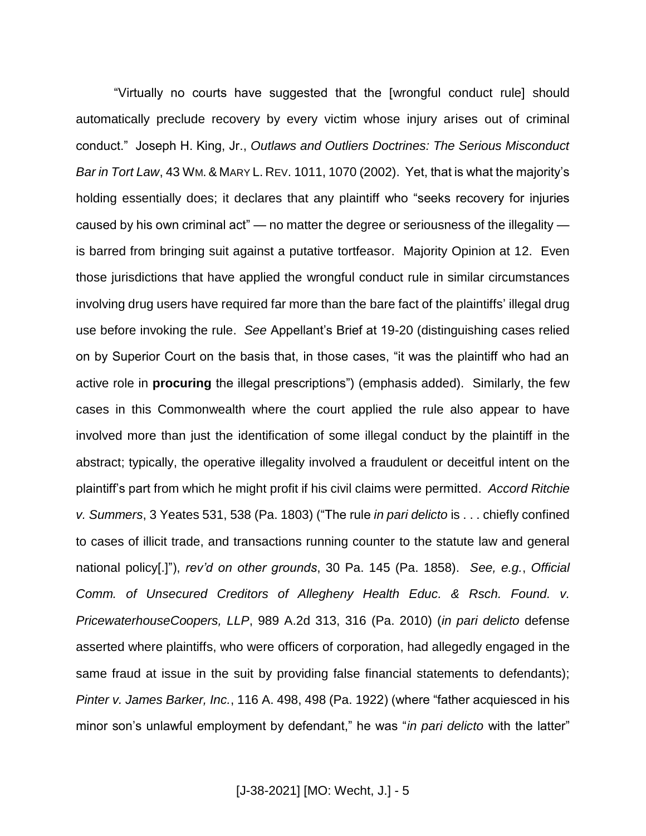"Virtually no courts have suggested that the [wrongful conduct rule] should automatically preclude recovery by every victim whose injury arises out of criminal conduct." Joseph H. King, Jr., *Outlaws and Outliers Doctrines: The Serious Misconduct Bar in Tort Law*, 43 WM. & MARY L. REV. 1011, 1070 (2002). Yet, that is what the majority's holding essentially does; it declares that any plaintiff who "seeks recovery for injuries caused by his own criminal act" — no matter the degree or seriousness of the illegality is barred from bringing suit against a putative tortfeasor. Majority Opinion at 12. Even those jurisdictions that have applied the wrongful conduct rule in similar circumstances involving drug users have required far more than the bare fact of the plaintiffs' illegal drug use before invoking the rule. *See* Appellant's Brief at 19-20 (distinguishing cases relied on by Superior Court on the basis that, in those cases, "it was the plaintiff who had an active role in **procuring** the illegal prescriptions") (emphasis added). Similarly, the few cases in this Commonwealth where the court applied the rule also appear to have involved more than just the identification of some illegal conduct by the plaintiff in the abstract; typically, the operative illegality involved a fraudulent or deceitful intent on the plaintiff's part from which he might profit if his civil claims were permitted. *Accord Ritchie v. Summers*, 3 Yeates 531, 538 (Pa. 1803) ("The rule *in pari delicto* is . . . chiefly confined to cases of illicit trade, and transactions running counter to the statute law and general national policy[.]"), *rev'd on other grounds*, 30 Pa. 145 (Pa. 1858). *See, e.g.*, *Official Comm. of Unsecured Creditors of Allegheny Health Educ. & Rsch. Found. v. PricewaterhouseCoopers, LLP*, 989 A.2d 313, 316 (Pa. 2010) (*in pari delicto* defense asserted where plaintiffs, who were officers of corporation, had allegedly engaged in the same fraud at issue in the suit by providing false financial statements to defendants); *Pinter v. James Barker, Inc.*, 116 A. 498, 498 (Pa. 1922) (where "father acquiesced in his minor son's unlawful employment by defendant," he was "*in pari delicto* with the latter"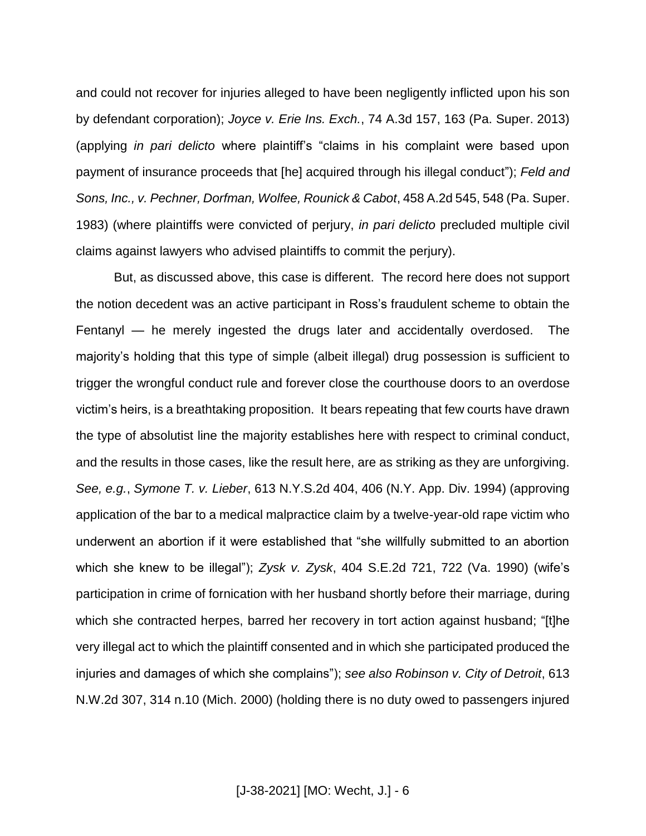and could not recover for injuries alleged to have been negligently inflicted upon his son by defendant corporation); *Joyce v. Erie Ins. Exch.*, 74 A.3d 157, 163 (Pa. Super. 2013) (applying *in pari delicto* where plaintiff's "claims in his complaint were based upon payment of insurance proceeds that [he] acquired through his illegal conduct"); *Feld and Sons, Inc., v. Pechner, Dorfman, Wolfee, Rounick & Cabot*, 458 A.2d 545, 548 (Pa. Super. 1983) (where plaintiffs were convicted of perjury, *in pari delicto* precluded multiple civil claims against lawyers who advised plaintiffs to commit the perjury).

But, as discussed above, this case is different. The record here does not support the notion decedent was an active participant in Ross's fraudulent scheme to obtain the Fentanyl — he merely ingested the drugs later and accidentally overdosed. The majority's holding that this type of simple (albeit illegal) drug possession is sufficient to trigger the wrongful conduct rule and forever close the courthouse doors to an overdose victim's heirs, is a breathtaking proposition. It bears repeating that few courts have drawn the type of absolutist line the majority establishes here with respect to criminal conduct, and the results in those cases, like the result here, are as striking as they are unforgiving. *See, e.g.*, *Symone T. v. Lieber*, 613 N.Y.S.2d 404, 406 (N.Y. App. Div. 1994) (approving application of the bar to a medical malpractice claim by a twelve-year-old rape victim who underwent an abortion if it were established that "she willfully submitted to an abortion which she knew to be illegal"); *Zysk v. Zysk*, 404 S.E.2d 721, 722 (Va. 1990) (wife's participation in crime of fornication with her husband shortly before their marriage, during which she contracted herpes, barred her recovery in tort action against husband; "[t]he very illegal act to which the plaintiff consented and in which she participated produced the injuries and damages of which she complains"); *see also Robinson v. City of Detroit*, 613 N.W.2d 307, 314 n.10 (Mich. 2000) (holding there is no duty owed to passengers injured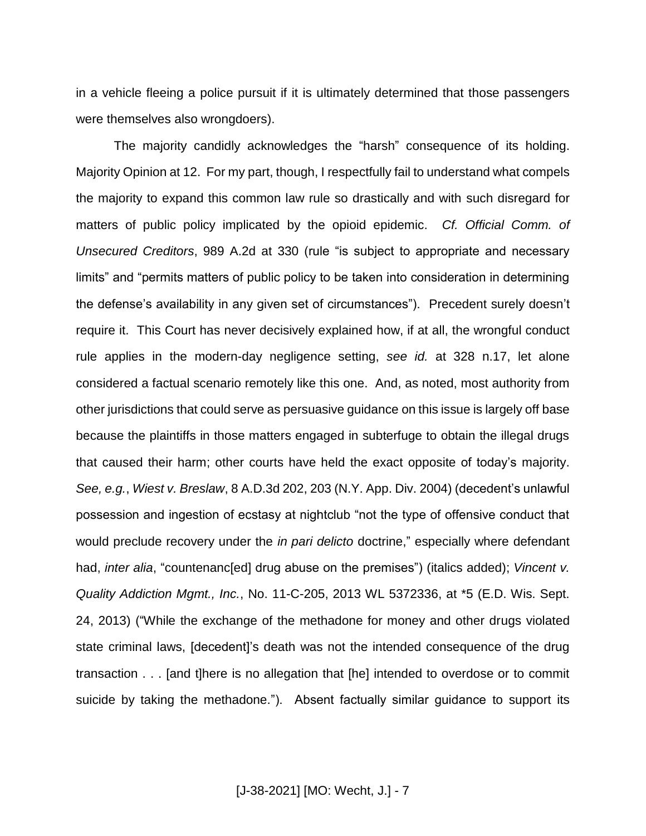in a vehicle fleeing a police pursuit if it is ultimately determined that those passengers were themselves also wrongdoers).

The majority candidly acknowledges the "harsh" consequence of its holding. Majority Opinion at 12. For my part, though, I respectfully fail to understand what compels the majority to expand this common law rule so drastically and with such disregard for matters of public policy implicated by the opioid epidemic. *Cf. Official Comm. of Unsecured Creditors*, 989 A.2d at 330 (rule "is subject to appropriate and necessary limits" and "permits matters of public policy to be taken into consideration in determining the defense's availability in any given set of circumstances"). Precedent surely doesn't require it. This Court has never decisively explained how, if at all, the wrongful conduct rule applies in the modern-day negligence setting, *see id.* at 328 n.17, let alone considered a factual scenario remotely like this one. And, as noted, most authority from other jurisdictions that could serve as persuasive guidance on this issue is largely off base because the plaintiffs in those matters engaged in subterfuge to obtain the illegal drugs that caused their harm; other courts have held the exact opposite of today's majority. *See, e.g.*, *Wiest v. Breslaw*, 8 A.D.3d 202, 203 (N.Y. App. Div. 2004) (decedent's unlawful possession and ingestion of ecstasy at nightclub "not the type of offensive conduct that would preclude recovery under the *in pari delicto* doctrine," especially where defendant had, *inter alia*, "countenanc[ed] drug abuse on the premises") (italics added); Vincent v. *Quality Addiction Mgmt., Inc.*, No. 11-C-205, 2013 WL 5372336, at \*5 (E.D. Wis. Sept. 24, 2013) ("While the exchange of the methadone for money and other drugs violated state criminal laws, [decedent]'s death was not the intended consequence of the drug transaction . . . [and t]here is no allegation that [he] intended to overdose or to commit suicide by taking the methadone."). Absent factually similar guidance to support its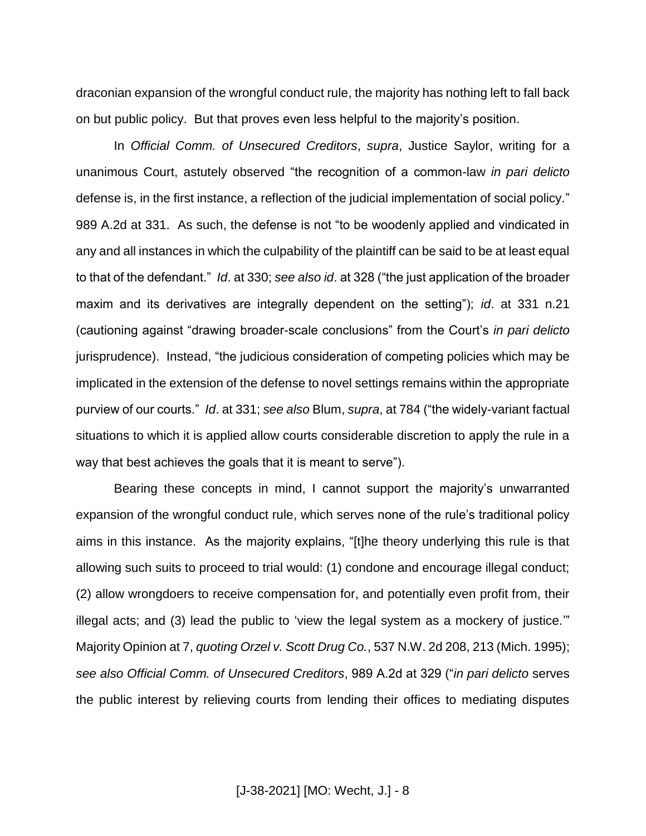draconian expansion of the wrongful conduct rule, the majority has nothing left to fall back on but public policy. But that proves even less helpful to the majority's position.

In *Official Comm. of Unsecured Creditors*, *supra*, Justice Saylor, writing for a unanimous Court, astutely observed "the recognition of a common-law *in pari delicto*  defense is, in the first instance, a reflection of the judicial implementation of social policy." 989 A.2d at 331. As such, the defense is not "to be woodenly applied and vindicated in any and all instances in which the culpability of the plaintiff can be said to be at least equal to that of the defendant." *Id*. at 330; *see also id*. at 328 ("the just application of the broader maxim and its derivatives are integrally dependent on the setting"); *id*. at 331 n.21 (cautioning against "drawing broader-scale conclusions" from the Court's *in pari delicto*  jurisprudence). Instead, "the judicious consideration of competing policies which may be implicated in the extension of the defense to novel settings remains within the appropriate purview of our courts." *Id*. at 331; *see also* Blum, *supra*, at 784 ("the widely-variant factual situations to which it is applied allow courts considerable discretion to apply the rule in a way that best achieves the goals that it is meant to serve").

Bearing these concepts in mind, I cannot support the majority's unwarranted expansion of the wrongful conduct rule, which serves none of the rule's traditional policy aims in this instance. As the majority explains, "[t]he theory underlying this rule is that allowing such suits to proceed to trial would: (1) condone and encourage illegal conduct; (2) allow wrongdoers to receive compensation for, and potentially even profit from, their illegal acts; and (3) lead the public to 'view the legal system as a mockery of justice.'" Majority Opinion at 7, *quoting Orzel v. Scott Drug Co.*, 537 N.W. 2d 208, 213 (Mich. 1995); *see also Official Comm. of Unsecured Creditors*, 989 A.2d at 329 ("*in pari delicto* serves the public interest by relieving courts from lending their offices to mediating disputes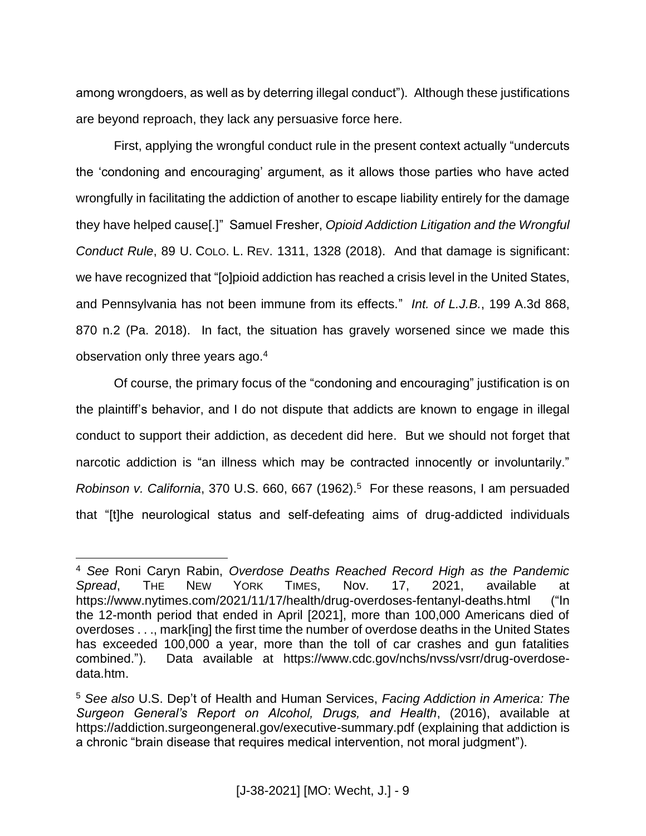among wrongdoers, as well as by deterring illegal conduct"). Although these justifications are beyond reproach, they lack any persuasive force here.

First, applying the wrongful conduct rule in the present context actually "undercuts the 'condoning and encouraging' argument, as it allows those parties who have acted wrongfully in facilitating the addiction of another to escape liability entirely for the damage they have helped cause[.]" Samuel Fresher, *Opioid Addiction Litigation and the Wrongful Conduct Rule*, 89 U. COLO. L. REV. 1311, 1328 (2018). And that damage is significant: we have recognized that "[o]pioid addiction has reached a crisis level in the United States, and Pennsylvania has not been immune from its effects." *Int. of L.J.B.*, 199 A.3d 868, 870 n.2 (Pa. 2018). In fact, the situation has gravely worsened since we made this observation only three years ago.<sup>4</sup>

Of course, the primary focus of the "condoning and encouraging" justification is on the plaintiff's behavior, and I do not dispute that addicts are known to engage in illegal conduct to support their addiction, as decedent did here. But we should not forget that narcotic addiction is "an illness which may be contracted innocently or involuntarily." *Robinson v. California*, 370 U.S. 660, 667 (1962).<sup>5</sup> For these reasons, I am persuaded that "[t]he neurological status and self-defeating aims of drug-addicted individuals

<sup>4</sup> *See* Roni Caryn Rabin, *Overdose Deaths Reached Record High as the Pandemic Spread*, THE NEW YORK TIMES, Nov. 17, 2021, available at https://www.nytimes.com/2021/11/17/health/drug-overdoses-fentanyl-deaths.html ("In the 12-month period that ended in April [2021], more than 100,000 Americans died of overdoses . . ., mark[ing] the first time the number of overdose deaths in the United States has exceeded 100,000 a year, more than the toll of car crashes and gun fatalities combined."). Data available at https://www.cdc.gov/nchs/nvss/vsrr/drug-overdosedata.htm.

<sup>5</sup> *See also* U.S. Dep't of Health and Human Services, *Facing Addiction in America: The Surgeon General's Report on Alcohol, Drugs, and Health*, (2016), available at https://addiction.surgeongeneral.gov/executive-summary.pdf (explaining that addiction is a chronic "brain disease that requires medical intervention, not moral judgment").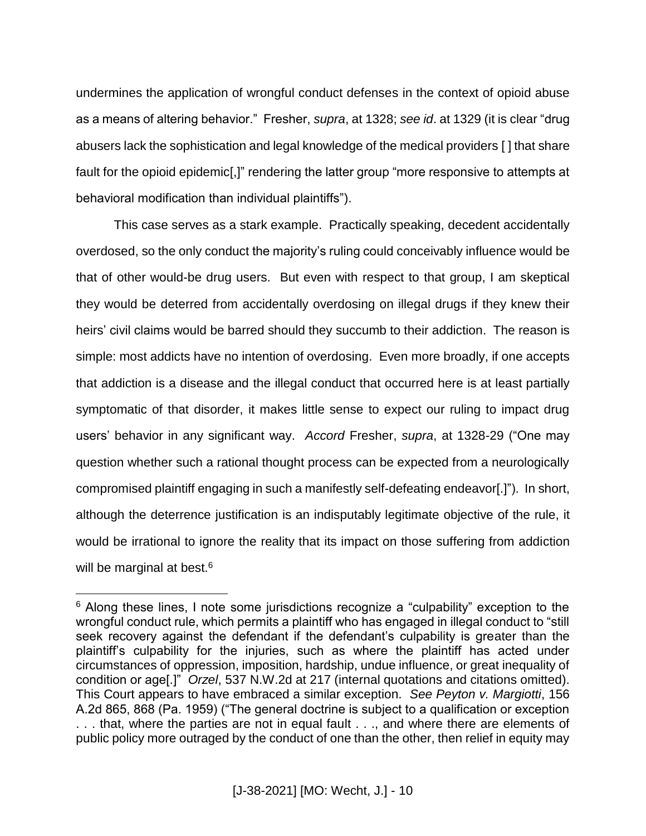undermines the application of wrongful conduct defenses in the context of opioid abuse as a means of altering behavior." Fresher, *supra*, at 1328; *see id*. at 1329 (it is clear "drug abusers lack the sophistication and legal knowledge of the medical providers [ ] that share fault for the opioid epidemic[,]" rendering the latter group "more responsive to attempts at behavioral modification than individual plaintiffs").

This case serves as a stark example. Practically speaking, decedent accidentally overdosed, so the only conduct the majority's ruling could conceivably influence would be that of other would-be drug users. But even with respect to that group, I am skeptical they would be deterred from accidentally overdosing on illegal drugs if they knew their heirs' civil claims would be barred should they succumb to their addiction. The reason is simple: most addicts have no intention of overdosing. Even more broadly, if one accepts that addiction is a disease and the illegal conduct that occurred here is at least partially symptomatic of that disorder, it makes little sense to expect our ruling to impact drug users' behavior in any significant way. *Accord* Fresher, *supra*, at 1328-29 ("One may question whether such a rational thought process can be expected from a neurologically compromised plaintiff engaging in such a manifestly self-defeating endeavor[.]"). In short, although the deterrence justification is an indisputably legitimate objective of the rule, it would be irrational to ignore the reality that its impact on those suffering from addiction will be marginal at best.<sup>6</sup>

<sup>&</sup>lt;sup>6</sup> Along these lines, I note some jurisdictions recognize a "culpability" exception to the wrongful conduct rule, which permits a plaintiff who has engaged in illegal conduct to "still seek recovery against the defendant if the defendant's culpability is greater than the plaintiff's culpability for the injuries, such as where the plaintiff has acted under circumstances of oppression, imposition, hardship, undue influence, or great inequality of condition or age[.]" *Orzel*, 537 N.W.2d at 217 (internal quotations and citations omitted). This Court appears to have embraced a similar exception. *See Peyton v. Margiotti*, 156 A.2d 865, 868 (Pa. 1959) ("The general doctrine is subject to a qualification or exception . . . that, where the parties are not in equal fault . . ., and where there are elements of public policy more outraged by the conduct of one than the other, then relief in equity may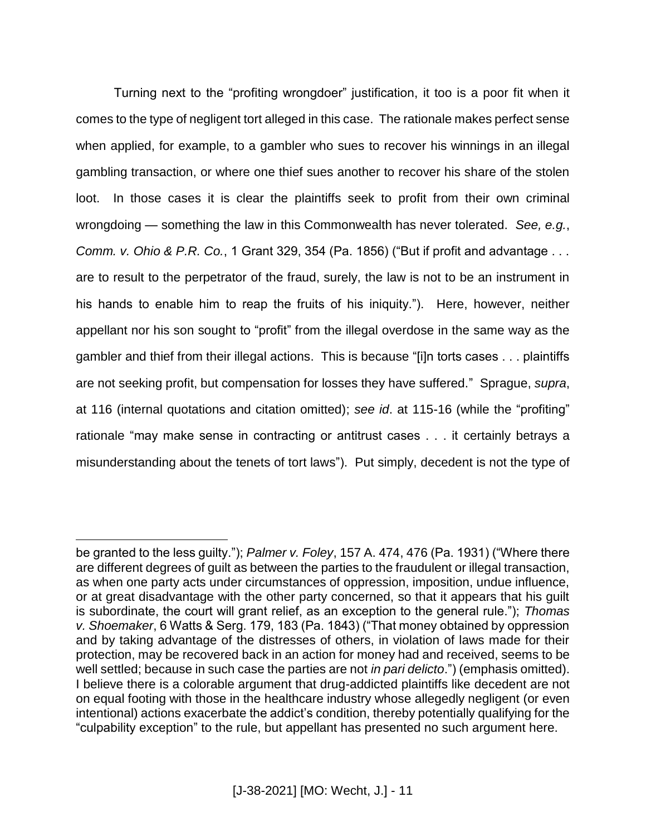Turning next to the "profiting wrongdoer" justification, it too is a poor fit when it comes to the type of negligent tort alleged in this case. The rationale makes perfect sense when applied, for example, to a gambler who sues to recover his winnings in an illegal gambling transaction, or where one thief sues another to recover his share of the stolen loot. In those cases it is clear the plaintiffs seek to profit from their own criminal wrongdoing — something the law in this Commonwealth has never tolerated. *See, e.g.*, *Comm. v. Ohio & P.R. Co.*, 1 Grant 329, 354 (Pa. 1856) ("But if profit and advantage . . . are to result to the perpetrator of the fraud, surely, the law is not to be an instrument in his hands to enable him to reap the fruits of his iniquity."). Here, however, neither appellant nor his son sought to "profit" from the illegal overdose in the same way as the gambler and thief from their illegal actions. This is because "[i]n torts cases . . . plaintiffs are not seeking profit, but compensation for losses they have suffered." Sprague, *supra*, at 116 (internal quotations and citation omitted); *see id*. at 115-16 (while the "profiting" rationale "may make sense in contracting or antitrust cases . . . it certainly betrays a misunderstanding about the tenets of tort laws"). Put simply, decedent is not the type of

be granted to the less guilty."); *Palmer v. Foley*, 157 A. 474, 476 (Pa. 1931) ("Where there are different degrees of guilt as between the parties to the fraudulent or illegal transaction, as when one party acts under circumstances of oppression, imposition, undue influence, or at great disadvantage with the other party concerned, so that it appears that his guilt is subordinate, the court will grant relief, as an exception to the general rule."); *Thomas v. Shoemaker*, 6 Watts & Serg. 179, 183 (Pa. 1843) ("That money obtained by oppression and by taking advantage of the distresses of others, in violation of laws made for their protection, may be recovered back in an action for money had and received, seems to be well settled; because in such case the parties are not *in pari delicto*.") (emphasis omitted). I believe there is a colorable argument that drug-addicted plaintiffs like decedent are not on equal footing with those in the healthcare industry whose allegedly negligent (or even intentional) actions exacerbate the addict's condition, thereby potentially qualifying for the "culpability exception" to the rule, but appellant has presented no such argument here.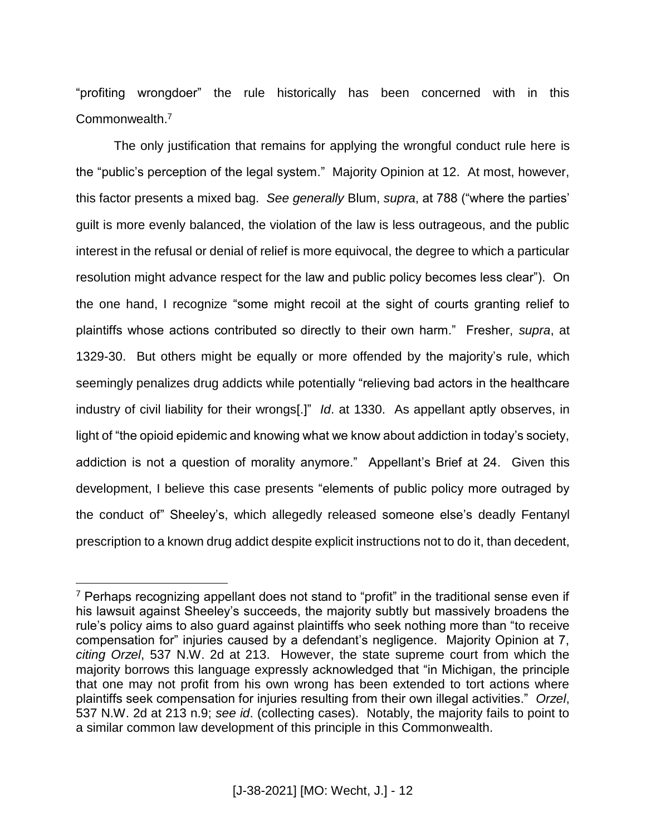"profiting wrongdoer" the rule historically has been concerned with in this Commonwealth. 7

The only justification that remains for applying the wrongful conduct rule here is the "public's perception of the legal system." Majority Opinion at 12. At most, however, this factor presents a mixed bag. *See generally* Blum, *supra*, at 788 ("where the parties' guilt is more evenly balanced, the violation of the law is less outrageous, and the public interest in the refusal or denial of relief is more equivocal, the degree to which a particular resolution might advance respect for the law and public policy becomes less clear"). On the one hand, I recognize "some might recoil at the sight of courts granting relief to plaintiffs whose actions contributed so directly to their own harm." Fresher, *supra*, at 1329-30. But others might be equally or more offended by the majority's rule, which seemingly penalizes drug addicts while potentially "relieving bad actors in the healthcare industry of civil liability for their wrongs[.]" *Id*. at 1330. As appellant aptly observes, in light of "the opioid epidemic and knowing what we know about addiction in today's society, addiction is not a question of morality anymore." Appellant's Brief at 24. Given this development, I believe this case presents "elements of public policy more outraged by the conduct of" Sheeley's, which allegedly released someone else's deadly Fentanyl prescription to a known drug addict despite explicit instructions not to do it, than decedent,

 $7$  Perhaps recognizing appellant does not stand to "profit" in the traditional sense even if his lawsuit against Sheeley's succeeds, the majority subtly but massively broadens the rule's policy aims to also guard against plaintiffs who seek nothing more than "to receive compensation for" injuries caused by a defendant's negligence. Majority Opinion at 7, *citing Orzel*, 537 N.W. 2d at 213. However, the state supreme court from which the majority borrows this language expressly acknowledged that "in Michigan, the principle that one may not profit from his own wrong has been extended to tort actions where plaintiffs seek compensation for injuries resulting from their own illegal activities." *Orzel*, 537 N.W. 2d at 213 n.9; *see id*. (collecting cases). Notably, the majority fails to point to a similar common law development of this principle in this Commonwealth.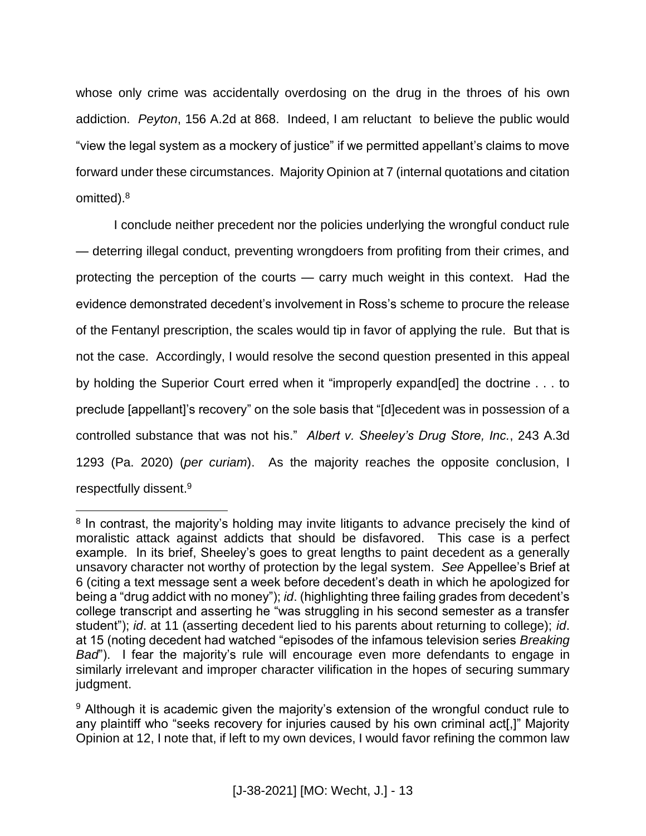whose only crime was accidentally overdosing on the drug in the throes of his own addiction. *Peyton*, 156 A.2d at 868. Indeed, I am reluctant to believe the public would "view the legal system as a mockery of justice" if we permitted appellant's claims to move forward under these circumstances. Majority Opinion at 7 (internal quotations and citation omitted).<sup>8</sup>

I conclude neither precedent nor the policies underlying the wrongful conduct rule — deterring illegal conduct, preventing wrongdoers from profiting from their crimes, and protecting the perception of the courts — carry much weight in this context. Had the evidence demonstrated decedent's involvement in Ross's scheme to procure the release of the Fentanyl prescription, the scales would tip in favor of applying the rule. But that is not the case. Accordingly, I would resolve the second question presented in this appeal by holding the Superior Court erred when it "improperly expand[ed] the doctrine . . . to preclude [appellant]'s recovery" on the sole basis that "[d]ecedent was in possession of a controlled substance that was not his." *Albert v. Sheeley's Drug Store, Inc.*, 243 A.3d 1293 (Pa. 2020) (*per curiam*). As the majority reaches the opposite conclusion, I respectfully dissent.<sup>9</sup>

<sup>&</sup>lt;sup>8</sup> In contrast, the majority's holding may invite litigants to advance precisely the kind of moralistic attack against addicts that should be disfavored. This case is a perfect example. In its brief, Sheeley's goes to great lengths to paint decedent as a generally unsavory character not worthy of protection by the legal system. *See* Appellee's Brief at 6 (citing a text message sent a week before decedent's death in which he apologized for being a "drug addict with no money"); *id*. (highlighting three failing grades from decedent's college transcript and asserting he "was struggling in his second semester as a transfer student"); *id*. at 11 (asserting decedent lied to his parents about returning to college); *id*. at 15 (noting decedent had watched "episodes of the infamous television series *Breaking Bad*"). I fear the majority's rule will encourage even more defendants to engage in similarly irrelevant and improper character vilification in the hopes of securing summary judgment.

<sup>&</sup>lt;sup>9</sup> Although it is academic given the majority's extension of the wrongful conduct rule to any plaintiff who "seeks recovery for injuries caused by his own criminal act[,]" Majority Opinion at 12, I note that, if left to my own devices, I would favor refining the common law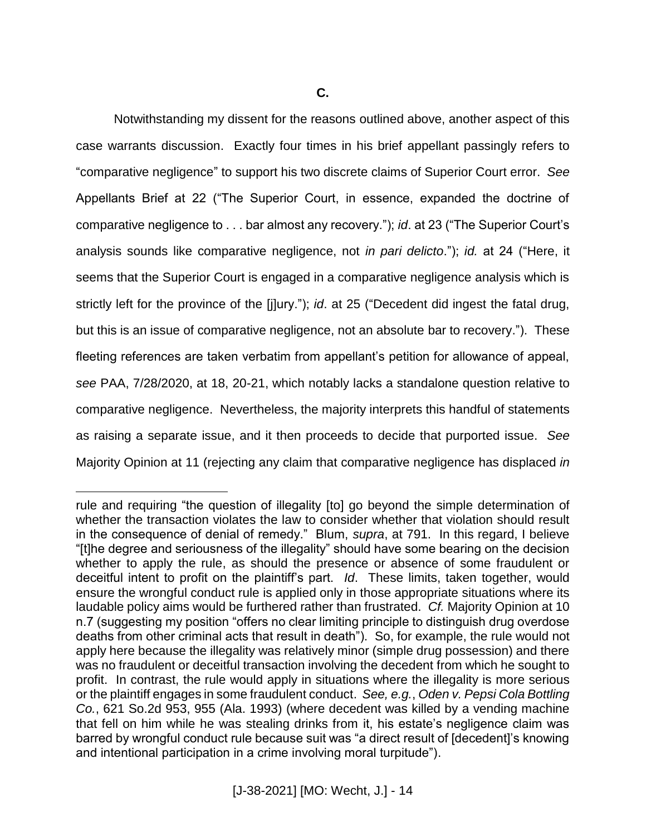Notwithstanding my dissent for the reasons outlined above, another aspect of this case warrants discussion. Exactly four times in his brief appellant passingly refers to "comparative negligence" to support his two discrete claims of Superior Court error. *See*  Appellants Brief at 22 ("The Superior Court, in essence, expanded the doctrine of comparative negligence to . . . bar almost any recovery."); *id*. at 23 ("The Superior Court's analysis sounds like comparative negligence, not *in pari delicto*."); *id.* at 24 ("Here, it seems that the Superior Court is engaged in a comparative negligence analysis which is strictly left for the province of the [j]ury."); *id*. at 25 ("Decedent did ingest the fatal drug, but this is an issue of comparative negligence, not an absolute bar to recovery."). These fleeting references are taken verbatim from appellant's petition for allowance of appeal, *see* PAA, 7/28/2020, at 18, 20-21, which notably lacks a standalone question relative to comparative negligence. Nevertheless, the majority interprets this handful of statements as raising a separate issue, and it then proceeds to decide that purported issue. *See*  Majority Opinion at 11 (rejecting any claim that comparative negligence has displaced *in* 

rule and requiring "the question of illegality [to] go beyond the simple determination of whether the transaction violates the law to consider whether that violation should result in the consequence of denial of remedy." Blum, *supra*, at 791. In this regard, I believe "[t]he degree and seriousness of the illegality" should have some bearing on the decision whether to apply the rule, as should the presence or absence of some fraudulent or deceitful intent to profit on the plaintiff's part. *Id*. These limits, taken together, would ensure the wrongful conduct rule is applied only in those appropriate situations where its laudable policy aims would be furthered rather than frustrated. *Cf.* Majority Opinion at 10 n.7 (suggesting my position "offers no clear limiting principle to distinguish drug overdose deaths from other criminal acts that result in death"). So, for example, the rule would not apply here because the illegality was relatively minor (simple drug possession) and there was no fraudulent or deceitful transaction involving the decedent from which he sought to profit. In contrast, the rule would apply in situations where the illegality is more serious or the plaintiff engages in some fraudulent conduct. *See, e.g.*, *Oden v. Pepsi Cola Bottling Co.*, 621 So.2d 953, 955 (Ala. 1993) (where decedent was killed by a vending machine that fell on him while he was stealing drinks from it, his estate's negligence claim was barred by wrongful conduct rule because suit was "a direct result of [decedent]'s knowing and intentional participation in a crime involving moral turpitude").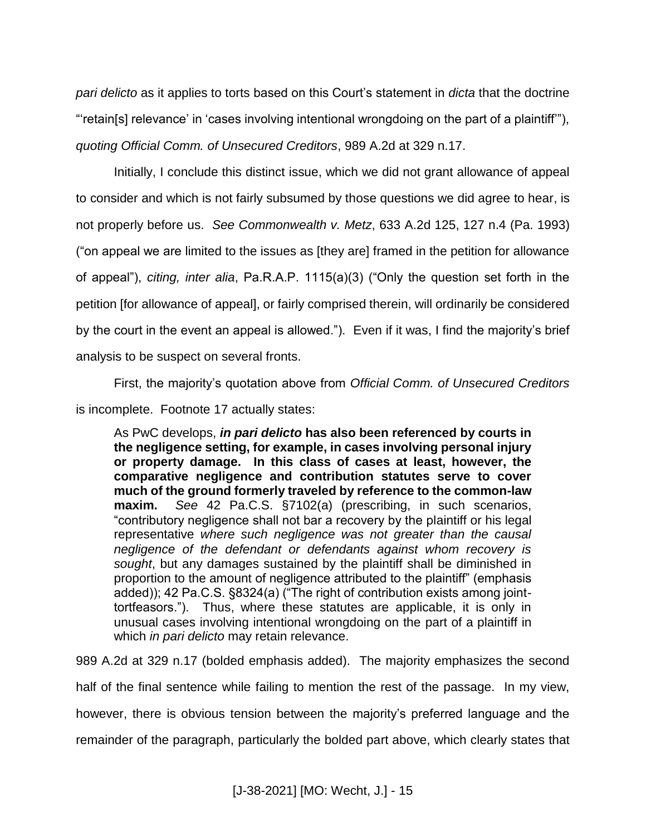*pari delicto* as it applies to torts based on this Court's statement in *dicta* that the doctrine "'retain[s] relevance' in 'cases involving intentional wrongdoing on the part of a plaintiff'"), *quoting Official Comm. of Unsecured Creditors*, 989 A.2d at 329 n.17.

Initially, I conclude this distinct issue, which we did not grant allowance of appeal to consider and which is not fairly subsumed by those questions we did agree to hear, is not properly before us. *See Commonwealth v. Metz*, 633 A.2d 125, 127 n.4 (Pa. 1993) ("on appeal we are limited to the issues as [they are] framed in the petition for allowance of appeal"), *citing, inter alia*, Pa.R.A.P. 1115(a)(3) ("Only the question set forth in the petition [for allowance of appeal], or fairly comprised therein, will ordinarily be considered by the court in the event an appeal is allowed."). Even if it was, I find the majority's brief analysis to be suspect on several fronts.

First, the majority's quotation above from *Official Comm. of Unsecured Creditors* is incomplete. Footnote 17 actually states:

As PwC develops, *in pari delicto* **has also been referenced by courts in the negligence setting, for example, in cases involving personal injury or property damage. In this class of cases at least, however, the comparative negligence and contribution statutes serve to cover much of the ground formerly traveled by reference to the common-law maxim.** *See* 42 Pa.C.S. §7102(a) (prescribing, in such scenarios, "contributory negligence shall not bar a recovery by the plaintiff or his legal representative *where such negligence was not greater than the causal negligence of the defendant or defendants against whom recovery is sought*, but any damages sustained by the plaintiff shall be diminished in proportion to the amount of negligence attributed to the plaintiff" (emphasis added)); 42 Pa.C.S. §8324(a) ("The right of contribution exists among jointtortfeasors."). Thus, where these statutes are applicable, it is only in unusual cases involving intentional wrongdoing on the part of a plaintiff in which *in pari delicto* may retain relevance.

989 A.2d at 329 n.17 (bolded emphasis added). The majority emphasizes the second half of the final sentence while failing to mention the rest of the passage. In my view, however, there is obvious tension between the majority's preferred language and the remainder of the paragraph, particularly the bolded part above, which clearly states that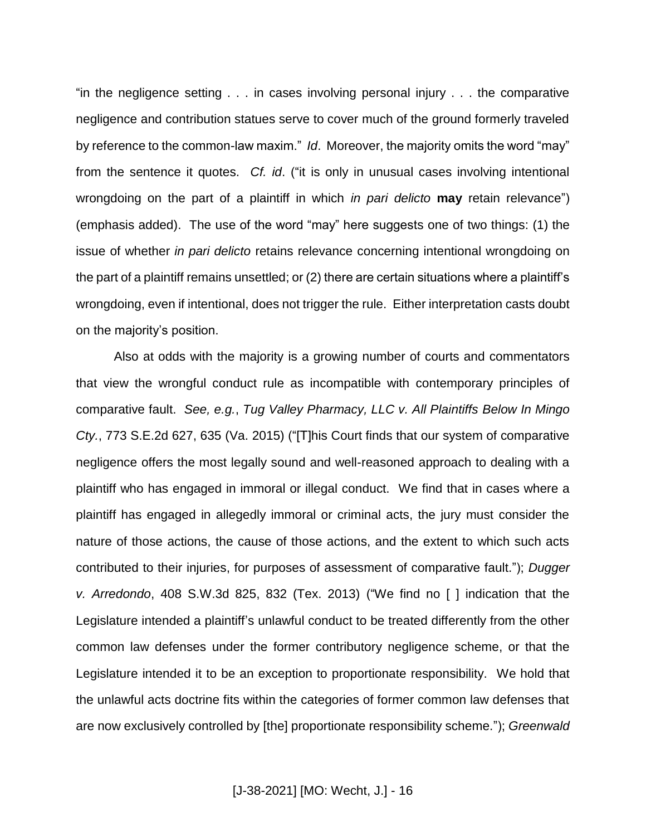"in the negligence setting . . . in cases involving personal injury . . . the comparative negligence and contribution statues serve to cover much of the ground formerly traveled by reference to the common-law maxim." *Id*. Moreover, the majority omits the word "may" from the sentence it quotes. *Cf. id*. ("it is only in unusual cases involving intentional wrongdoing on the part of a plaintiff in which *in pari delicto* **may** retain relevance") (emphasis added). The use of the word "may" here suggests one of two things: (1) the issue of whether *in pari delicto* retains relevance concerning intentional wrongdoing on the part of a plaintiff remains unsettled; or (2) there are certain situations where a plaintiff's wrongdoing, even if intentional, does not trigger the rule. Either interpretation casts doubt on the majority's position.

Also at odds with the majority is a growing number of courts and commentators that view the wrongful conduct rule as incompatible with contemporary principles of comparative fault. *See, e.g.*, *Tug Valley Pharmacy, LLC v. All Plaintiffs Below In Mingo Cty.*, 773 S.E.2d 627, 635 (Va. 2015) ("[T]his Court finds that our system of comparative negligence offers the most legally sound and well-reasoned approach to dealing with a plaintiff who has engaged in immoral or illegal conduct. We find that in cases where a plaintiff has engaged in allegedly immoral or criminal acts, the jury must consider the nature of those actions, the cause of those actions, and the extent to which such acts contributed to their injuries, for purposes of assessment of comparative fault."); *Dugger v. Arredondo*, 408 S.W.3d 825, 832 (Tex. 2013) ("We find no [ ] indication that the Legislature intended a plaintiff's unlawful conduct to be treated differently from the other common law defenses under the former contributory negligence scheme, or that the Legislature intended it to be an exception to proportionate responsibility. We hold that the unlawful acts doctrine fits within the categories of former common law defenses that are now exclusively controlled by [the] proportionate responsibility scheme."); *Greenwald*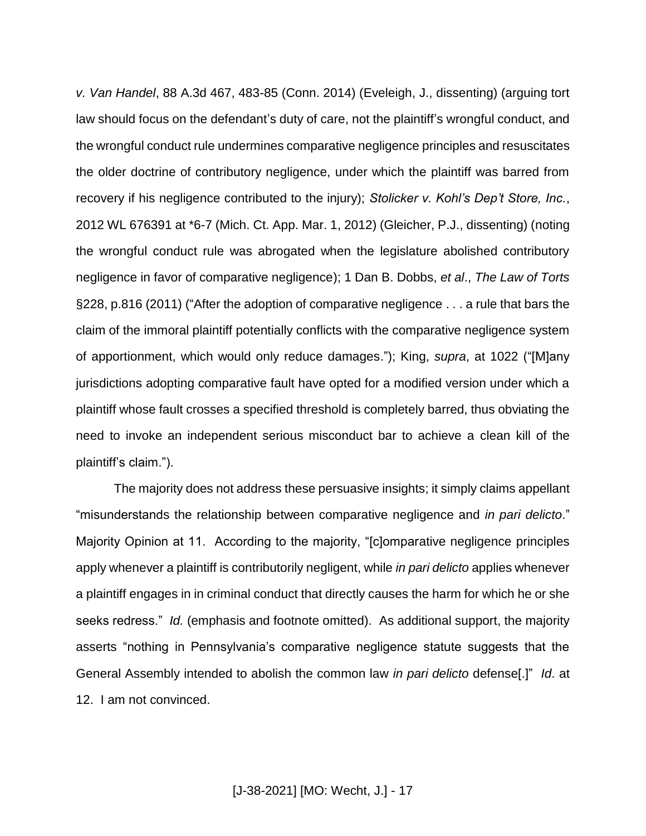*v. Van Handel*, 88 A.3d 467, 483-85 (Conn. 2014) (Eveleigh, J., dissenting) (arguing tort law should focus on the defendant's duty of care, not the plaintiff's wrongful conduct, and the wrongful conduct rule undermines comparative negligence principles and resuscitates the older doctrine of contributory negligence, under which the plaintiff was barred from recovery if his negligence contributed to the injury); *Stolicker v. Kohl's Dep't Store, Inc.*, 2012 WL 676391 at \*6-7 (Mich. Ct. App. Mar. 1, 2012) (Gleicher, P.J., dissenting) (noting the wrongful conduct rule was abrogated when the legislature abolished contributory negligence in favor of comparative negligence); 1 Dan B. Dobbs, *et al*., *The Law of Torts*  §228, p.816 (2011) ("After the adoption of comparative negligence . . . a rule that bars the claim of the immoral plaintiff potentially conflicts with the comparative negligence system of apportionment, which would only reduce damages."); King, *supra*, at 1022 ("[M]any jurisdictions adopting comparative fault have opted for a modified version under which a plaintiff whose fault crosses a specified threshold is completely barred, thus obviating the need to invoke an independent serious misconduct bar to achieve a clean kill of the plaintiff's claim.").

The majority does not address these persuasive insights; it simply claims appellant "misunderstands the relationship between comparative negligence and *in pari delicto*." Majority Opinion at 11. According to the majority, "[c]omparative negligence principles apply whenever a plaintiff is contributorily negligent, while *in pari delicto* applies whenever a plaintiff engages in in criminal conduct that directly causes the harm for which he or she seeks redress." *Id.* (emphasis and footnote omitted). As additional support, the majority asserts "nothing in Pennsylvania's comparative negligence statute suggests that the General Assembly intended to abolish the common law *in pari delicto* defense[.]" *Id*. at 12. I am not convinced.